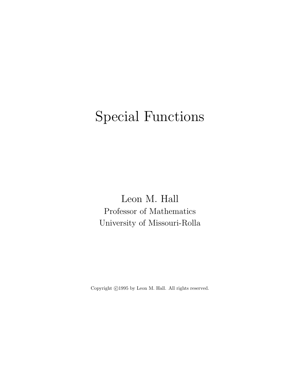# Special Functions

Leon M. Hall Professor of Mathematics University of Missouri-Rolla

Copyright  $\odot$ 1995 by Leon M. Hall. All rights reserved.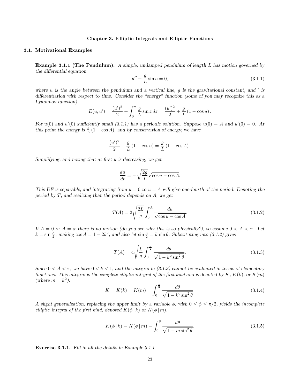#### Chapter 3. Elliptic Integrals and Elliptic Functions

## 3.1. Motivational Examples

Example 3.1.1 (The Pendulum). A simple, undamped pendulum of length L has motion governed by the differential equation

$$
u'' + \frac{g}{L}\sin u = 0,\t(3.1.1)
$$

where  $u$  is the angle between the pendulum and a vertical line,  $g$  is the gravitational constant, and  $'$  is differentiation with respect to time. Consider the "energy" function (some of you may recognize this as a Lyapunov function):

$$
E(u, u') = \frac{(u')^{2}}{2} + \int_{0}^{u} \frac{g}{L} \sin z \, dz = \frac{(u')^{2}}{2} + \frac{g}{L} (1 - \cos u).
$$

For  $u(0)$  and  $u'(0)$  sufficiently small (3.1.1) has a periodic solution. Suppose  $u(0) = A$  and  $u'(0) = 0$ . At this point the energy is  $\frac{g}{L}(1 - \cos A)$ , and by conservation of energy, we have

$$
\frac{(u')^2}{2} + \frac{g}{L} (1 - \cos u) = \frac{g}{L} (1 - \cos A).
$$

Simplifying, and noting that at first u is decreasing, we get

$$
\frac{du}{dt} = -\sqrt{\frac{2g}{L}} \sqrt{\cos u - \cos A}.
$$

This DE is separable, and integrating from  $u = 0$  to  $u = A$  will give one-fourth of the period. Denoting the period by  $T$ , and realizing that the period depends on  $A$ , we get

$$
T(A) = 2\sqrt{\frac{2L}{g}} \int_0^A \frac{du}{\sqrt{\cos u - \cos A}}.\tag{3.1.2}
$$

If  $A = 0$  or  $A = \pi$  there is no motion (do you see why this is so physically?), so assume  $0 < A < \pi$ . Let  $k = \sin \frac{A}{2}$ , making  $\cos A = 1 - 2k^2$ , and also let  $\sin \frac{u}{2} = k \sin \theta$ . Substituting into (3.1.2) gives

$$
T(A) = 4\sqrt{\frac{L}{g}} \int_0^{\frac{\pi}{2}} \frac{d\theta}{\sqrt{1 - k^2 \sin^2 \theta}}.
$$
\n(3.1.3)

Since  $0 < A < \pi$ , we have  $0 < k < 1$ , and the integral in (3.1.3) cannot be evaluated in terms of elementary functions. This integral is the complete elliptic integral of the first kind and is denoted by  $K, K(k)$ , or  $K(m)$ (where  $m = k^2$ ).

$$
K = K(k) = K(m) = \int_0^{\frac{\pi}{2}} \frac{d\theta}{\sqrt{1 - k^2 \sin^2 \theta}}.
$$
\n(3.1.4)

A slight generalization, replacing the upper limit by a variable  $\phi$ , with  $0 \le \phi \le \pi/2$ , yields the incomplete elliptic integral of the first kind, denoted  $K(\phi | k)$  or  $K(\phi | m)$ .

$$
K(\phi \mid k) = K(\phi \mid m) = \int_0^{\phi} \frac{d\theta}{\sqrt{1 - m \sin^2 \theta}}.
$$
\n(3.1.5)

Exercise 3.1.1. Fill in all the details in Example 3.1.1.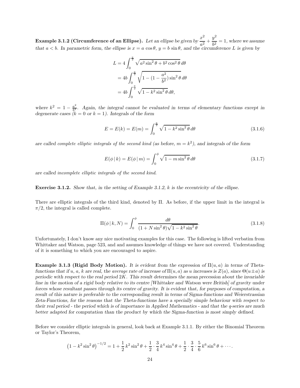**Example 3.1.2 (Circumference of an Ellipse).** Let an ellipse be given by  $\frac{x^2}{2}$  $rac{x^2}{a^2} + \frac{y^2}{b^2}$  $\frac{b^2}{b^2} = 1$ , where we assume that  $a < b$ . In parametric form, the ellipse is  $x = a \cos \theta$ ,  $y = b \sin \theta$ , and the circumference L is given by

$$
L = 4 \int_0^{\frac{\pi}{2}} \sqrt{a^2 \sin^2 \theta + b^2 \cos^2 \theta} \, d\theta
$$
  
= 
$$
4b \int_0^{\frac{\pi}{2}} \sqrt{1 - (1 - \frac{a^2}{b^2}) \sin^2 \theta} \, d\theta
$$
  
= 
$$
4b \int_0^{\frac{\pi}{2}} \sqrt{1 - k^2 \sin^2 \theta} \, d\theta,
$$

where  $k^2 = 1 - \frac{a^2}{b^2}$  $\frac{a^2}{b^2}$ . Again, the integral cannot be evaluated in terms of elementary functions except in degenerate cases  $(k = 0 \text{ or } k = 1)$ . Integrals of the form

$$
E = E(k) = E(m) = \int_0^{\frac{\pi}{2}} \sqrt{1 - k^2 \sin^2 \theta} \, d\theta \tag{3.1.6}
$$

are called complete elliptic integrals of the second kind (as before,  $m = k^2$ ), and integrals of the form

$$
E(\phi \mid k) = E(\phi \mid m) = \int_0^{\phi} \sqrt{1 - m \sin^2 \theta} \, d\theta \tag{3.1.7}
$$

are called incomplete elliptic integrals of the second kind.

Exercise 3.1.2. Show that, in the setting of Example 3.1.2, k is the eccentricity of the ellipse.

There are elliptic integrals of the third kind, denoted by Π. As before, if the upper limit in the integral is  $\pi/2$ , the integral is called complete.

$$
\Pi(\phi \mid k, N) = \int_0^{\phi} \frac{d\theta}{(1 + N\sin^2\theta)\sqrt{1 - k^2\sin^2\theta}}.
$$
\n(3.1.8)

Unfortunately, I don't know any nice motivating examples for this case. The following is lifted verbatim from Whittaker and Watson, page 523, and and assumes knowledge of things we have not covered. Understanding of it is something to which you are encouraged to aspire.

Example 3.1.3 (Rigid Body Motion). It is evident from the expression of  $\Pi(u, a)$  in terms of Thetafunctions that if u, a, k are real, the average rate of increase of  $\Pi(u, a)$  as u increases is  $Z(a)$ , since  $\Theta(u \pm a)$  is periodic with respect to the real period  $2K$ . This result determines the mean precession about the invariable line in the motion of a rigid body relative to its centre [Whittaker and Watson were British] of gravity under forces whose resultant passes through its centre of gravity. It is evident that, for purposes of computation, a result of this nature is preferable to the corresponding result in terms of Sigma-functions and Weierstrassian Zeta-Functions, for the reasons that the Theta-functions have a specially simple behaviour with respect to their real period - the period which is of importance in Applied Mathematics - and that the  $q$ -series are much better adapted for computation than the product by which the Sigma-function is most simply defined.

Before we consider elliptic integrals in general, look back at Example 3.1.1. By either the Binomial Theorem or Taylor's Theorem,

$$
(1 - k^2 \sin^2 \theta)^{-1/2} = 1 + \frac{1}{2} k^2 \sin^2 \theta + \frac{1}{2} \cdot \frac{3}{4} k^4 \sin^4 \theta + \frac{1}{2} \cdot \frac{3}{4} \cdot \frac{5}{6} k^6 \sin^6 \theta + \cdots
$$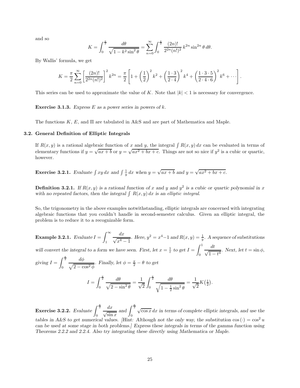and so

$$
K = \int_0^{\frac{\pi}{2}} \frac{d\theta}{\sqrt{1 - k^2 \sin^2 \theta}} = \sum_{n=0}^{\infty} \int_0^{\frac{\pi}{2}} \frac{(2n)!}{2^{2n} (n!)^2} k^{2n} \sin^{2n} \theta \, d\theta.
$$

By Wallis' formula, we get

$$
K = \frac{\pi}{2} \sum_{n=0}^{\infty} \left[ \frac{(2n)!}{2^{2n} (n!)^2} \right]^2 k^{2n} = \frac{\pi}{2} \left[ 1 + \left( \frac{1}{2} \right)^2 k^2 + \left( \frac{1 \cdot 3}{2 \cdot 4} \right)^2 k^4 + \left( \frac{1 \cdot 3 \cdot 5}{2 \cdot 4 \cdot 6} \right)^2 k^6 + \cdots \right].
$$

This series can be used to approximate the value of K. Note that  $|k| < 1$  is necessary for convergence.

**Exercise 3.1.3.** Express E as a power series in powers of  $k$ .

The functions K, E, and Π are tabulated in A&S and are part of Mathematica and Maple.

## 3.2. General Definition of Elliptic Integrals

If  $R(x, y)$  is a rational algebraic function of x and y, the integral  $\int R(x, y) dx$  can be evaluated in terms of elementary functions if  $y = \sqrt{ax + b}$  or  $y = \sqrt{ax^2 + bx + c}$ . Things are not so nice if  $y^2$  is a cubic or quartic, however.

**Exercise 3.2.1.** Evaluate  $\int xy \, dx$  and  $\int \frac{1}{y} \, dx$  when  $y = \sqrt{ax + b}$  and  $y = \sqrt{ax^2 + bx + c}$ .

**Definition 3.2.1.** If  $R(x, y)$  is a rational function of x and y and  $y<sup>2</sup>$  is a cubic or quartic polynomial in x with no repeated factors, then the integral  $\int R(x, y) dx$  is an elliptic integral.

So, the trigonometry in the above examples notwithstanding, elliptic integrals are concerned with integrating algebraic functions that you couldn't handle in second-semester calculus. Given an elliptic integral, the problem is to reduce it to a recognizable form.

**Example 3.2.1.** Evaluate 
$$
I = \int_1^{\infty} \frac{dx}{\sqrt{x^4 - 1}}
$$
. Here,  $y^2 = x^4 - 1$  and  $R(x, y) = \frac{1}{y}$ . A sequence of substitutions  
will convert the integral to a form we have seen. First, let  $x = \frac{1}{t}$  to get  $I = \int_0^1 \frac{dt}{\sqrt{1 - t^4}}$ . Next, let  $t = \sin \phi$ ,  
giving  $I = \int_0^{\frac{\pi}{2}} \frac{d\phi}{\sqrt{2 - \cos^2 \phi}}$ . Finally, let  $\phi = \frac{\pi}{2} - \theta$  to get

$$
I = \int_0^{\frac{\pi}{2}} \frac{d\theta}{\sqrt{2 - \sin^2 \theta}} = \frac{1}{\sqrt{2}} \int_0^{\frac{\pi}{2}} \frac{d\theta}{\sqrt{1 - \frac{1}{2} \sin^2 \theta}} = \frac{1}{\sqrt{2}} K(\frac{1}{2}).
$$

**Exercise 3.2.2.** Evaluate  $\int_0^{\frac{\pi}{2}}$  $\boldsymbol{0}$  $dx$  $\sqrt{\sin x}$ and  $\int_0^{\frac{\pi}{2}}$  $\boldsymbol{0}$  $\sqrt{\cos x} dx$  in terms of complete elliptic integrals, and use the tables in A&S to get numerical values. [Hint: Although not the only way, the substitution  $\cos(\cdot) = \cos^2 u$ can be used at some stage in both problems.] Express these integrals in terms of the gamma function using Theorems 2.2.2 and 2.2.4. Also try integrating these directly using Mathematica or Maple.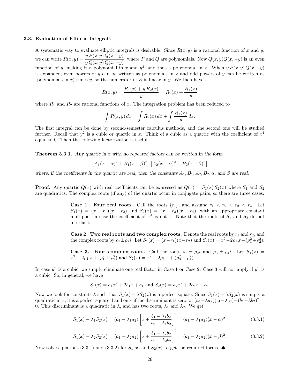#### 3.3. Evaluation of Elliptic Integrals

A systematic way to evaluate elliptic integrals is desirable. Since  $R(x, y)$  is a rational function of x and y, we can write  $R(x, y) = \frac{y P(x, y) Q(x, -y)}{Q(x) Q(x)}$  $\frac{g(x, y) \in (x, y) \in (x, y)}{g(Q(x, y)Q(x, -y))}$ , where P and Q are polynomials. Now  $Q(x, y)Q(x, -y)$  is an even function of y, making it a polynomial in x and  $y^2$ , and thus a polynomial in x. When  $y P(x, y) Q(x, -y)$ is expanded, even powers of y can be written as polynomials in x and odd powers of y can be written as (polynomials in x) times y, so the numerator of R is linear in y. We then have

$$
R(x, y) = \frac{R_1(x) + y R_2(x)}{y} = R_2(x) + \frac{R_1(x)}{y}
$$

where  $R_1$  and  $R_2$  are rational functions of x. The integration problem has been reduced to

$$
\int R(x,y) dx = \int R_2(x) dx + \int \frac{R_1(x)}{y} dx.
$$

The first integral can be done by second-semester calculus methods, and the second one will be studied further. Recall that  $y^2$  is a cubic or quartic in x. Think of a cubic as a quartic with the coefficient of  $x^4$ equal to 0. Then the following factorization is useful.

**Theorem 3.3.1.** Any quartic in x with no repeated factors can be written in the form

$$
[A_1(x-\alpha)^2 + B_1(x-\beta)^2] [A_2(x-\alpha)^2 + B_2(x-\beta)^2]
$$

where, if the coefficients in the quartic are real, then the constants  $A_1, B_1, A_2, B_2, \alpha$ , and  $\beta$  are real.

**Proof.** Any quartic  $Q(x)$  with real coefficients can be expressed as  $Q(x) = S_1(x) S_2(x)$  where  $S_1$  and  $S_2$ are quadratics. The complex roots (if any) of the quartic occur in conjugate pairs, so there are three cases.

> **Case 1. Four real roots.** Call the roots  $\{r_i\}$ , and assume  $r_1 < r_2 < r_3 < r_4$ . Let  $S_1(x) = (x - r_1)(x - r_2)$  and  $S_2(x) = (x - r_3)(x - r_4)$ , with an appropriate constant multiplier in case the coefficient of  $x^4$  is not 1. Note that the roots of  $S_1$  and  $S_2$  do not interlace.

> Case 2. Two real roots and two complex roots. Denote the real roots by  $r_1$  and  $r_2$ , and the complex roots by  $\rho_1 \pm \rho_2 i$ . Let  $S_1(x) = (x - r_1)(x - r_2)$  and  $S_2(x) = x^2 - 2\rho_1 x + (\rho_1^2 + \rho_2^2)$ .

> **Case 3. Four complex roots.** Call the roots  $\rho_1 \pm \rho_2 i$  and  $\rho_3 \pm \rho_4 i$ . Let  $S_1(x) =$  $x^2 - 2\rho_1 x + (\rho_1^2 + \rho_2^2)$  and  $S_2(x) = x^2 - 2\rho_3 x + (\rho_3^2 + \rho_4^2)$ .

In case  $y^2$  is a cubic, we simply eliminate one real factor in Case 1 or Case 2. Case 3 will not apply if  $y^2$  is a cubic. So, in general, we have

$$
S_1(x) = a_1x^2 + 2b_1x + c_1
$$
 and  $S_2(x) = a_2x^2 + 2b_2x + c_2$ .

Now we look for constants  $\lambda$  such that  $S_1(x) - \lambda S_2(x)$  is a perfect square. Since  $S_1(x) - \lambda S_2(x)$  is simply a quadratic in x, it is a perfect square if and only if the discriminant is zero, or  $(a_1 - \lambda a_2)(c_1 - \lambda c_2) - (b_1 - \lambda b_2)^2 =$ 0. This discriminant is a quadratic in  $\lambda$ , and has two roots,  $\lambda_1$  and  $\lambda_2$ . We get

$$
S_1(x) - \lambda_1 S_2(x) = (a_1 - \lambda_1 a_2) \left[ x + \frac{b_1 - \lambda_1 b_2}{a_1 - \lambda_1 b_2} \right]^2 = (a_1 - \lambda_1 a_2)(x - \alpha)^2,
$$
\n(3.3.1)

$$
S_1(x) - \lambda_2 S_2(x) = (a_1 - \lambda_2 a_2) \left[ x + \frac{b_1 - \lambda_2 b_2}{a_1 - \lambda_2 b_2} \right]^2 = (a_1 - \lambda_2 a_2)(x - \beta)^2,
$$
\n(3.3.2)

Now solve equations (3.3.1) and (3.3.2) for  $S_1(x)$  and  $S_2(x)$  to get the required forms.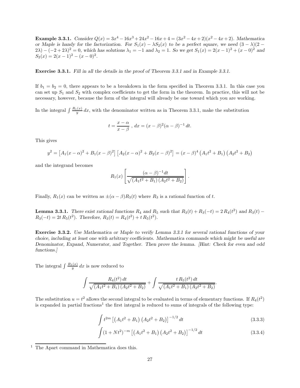**Example 3.3.1.** Consider  $Q(x) = 3x^4 - 16x^3 + 24x^2 - 16x + 4 = (3x^2 - 4x + 2)(x^2 - 4x + 2)$ . Mathematica or Maple is handy for the factorization. For  $S_1(x) - \lambda S_2(x)$  to be a perfect square, we need  $(3 - \lambda)(2 2\lambda$ ) –  $(-2+2\lambda)^2 = 0$ , which has solutions  $\lambda_1 = -1$  and  $\lambda_2 = 1$ . So we get  $S_1(x) = 2(x-1)^2 + (x-0)^2$  and  $S_2(x) = 2(x-1)^2 - (x-0)^2$ .

Exercise 3.3.1. Fill in all the details in the proof of Theorem 3.3.1 and in Example 3.3.1.

If  $b_1 = b_2 = 0$ , there appears to be a breakdown in the form specified in Theorem 3.3.1. In this case you can set up  $S_1$  and  $S_2$  with complex coefficients to get the form in the theorem. In practice, this will not be necessary, however, because the form of the integral will already be one toward which you are working.

In the integral  $\int \frac{R_1(x)}{y} dx$ , with the denominator written as in Theorem 3.3.1, make the substitution

$$
t = \frac{x - \alpha}{x - \beta}
$$
,  $dx = (x - \beta)^2 (\alpha - \beta)^{-1} dt$ .

This gives

$$
y^{2} = [A_{1}(x - \alpha)^{2} + B_{1}(x - \beta)^{2}] [A_{2}(x - \alpha)^{2} + B_{2}(x - \beta)^{2}] = (x - \beta)^{4} (A_{1}t^{2} + B_{1}) (A_{2}t^{2} + B_{2})
$$

and the integrand becomes

$$
R_1(x) \left[ \frac{(\alpha - \beta)^{-1} dt}{\sqrt{(A_1 t^2 + B_1) (A_2 t^2 + B_2)}} \right].
$$

Finally,  $R_1(x)$  can be written as  $\pm(\alpha-\beta)R_3(t)$  where  $R_3$  is a rational function of t.

**Lemma 3.3.1.** There exist rational functions  $R_4$  and  $R_5$  such that  $R_3(t) + R_3(-t) = 2 R_4(t^2)$  and  $R_3(t)$  –  $R_3(-t) = 2t R_5(t^2)$ . Therefore,  $R_3(t) = R_4(t^2) + t R_5(t^2)$ .

Exercise 3.3.2. Use Mathematica or Maple to verify Lemma 3.3.1 for several rational functions of your choice, including at least one with arbitrary coefficients. Mathematica commands which might be useful are Denominator, Expand, Numerator, and Together. Then prove the lemma. [Hint: Check for even and odd functions.]

The integral  $\int \frac{R_1(x)}{y} dx$  is now reduced to

$$
\int \frac{R_4(t^2) dt}{\sqrt{(A_1 t^2 + B_1) (A_2 t^2 + B_2)}} + \int \frac{t R_5(t^2) dt}{\sqrt{(A_1 t^2 + B_1) (A_2 t^2 + B_2)}}.
$$

The substitution  $u = t^2$  allows the second integral to be evaluated in terms of elementary functions. If  $R_4(t^2)$ is expanded in partial fractions<sup>1</sup> the first integral is reduced to sums of integrals of the following type:

$$
\int t^{2m} \left[ \left( A_1 t^2 + B_1 \right) \left( A_2 t^2 + B_2 \right) \right]^{-1/2} dt \tag{3.3.3}
$$

$$
\int (1 + Nt^2)^{-m} \left[ \left( A_1 t^2 + B_1 \right) \left( A_2 t^2 + B_2 \right) \right]^{-1/2} dt \tag{3.3.4}
$$

<sup>&</sup>lt;sup>1</sup> The Apart command in Mathematica does this.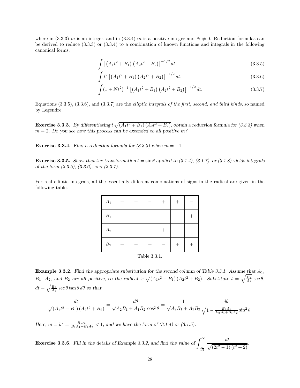where in (3.3.3) m is an integer, and in (3.3.4) m is a positive integer and  $N \neq 0$ . Reduction formulas can be derived to reduce (3.3.3) or (3.3.4) to a combination of known functions and integrals in the following canonical forms:

$$
\int \left[ \left( A_1 t^2 + B_1 \right) \left( A_2 t^2 + B_2 \right) \right]^{-1/2} dt, \tag{3.3.5}
$$

$$
\int t^2 \left[ \left( A_1 t^2 + B_1 \right) \left( A_2 t^2 + B_2 \right) \right]^{-1/2} dt, \tag{3.3.6}
$$

$$
\int (1 + Nt^2)^{-1} \left[ \left( A_1 t^2 + B_1 \right) \left( A_2 t^2 + B_2 \right) \right]^{-1/2} dt.
$$
 (3.3.7)

Equations  $(3.3.5), (3.3.6),$  and  $(3.3.7)$  are the *elliptic integrals of the first, second, and third kinds*, so named by Legendre.

**Exercise 3.3.3.** By differentiating  $t \sqrt{(A_1 t^2 + B_1) (A_2 t^2 + B_2)}$ , obtain a reduction formula for (3.3.3) when  $m = 2$ . Do you see how this process can be extended to all positive m?

Exercise 3.3.4. Find a reduction formula for  $(3.3.3)$  when  $m = -1$ .

**Exercise 3.3.5.** Show that the transformation  $t = \sin \theta$  applied to (3.1.4), (3.1.7), or (3.1.8) yields integrals of the form (3.3.5), (3.3.6), and (3.3.7).

For real elliptic integrals, all the essentially different combinations of signs in the radical are given in the following table.

| $A_1$           | ⊤ |  |  |  |  |  |  |  |  |
|-----------------|---|--|--|--|--|--|--|--|--|
| $B_1$           |   |  |  |  |  |  |  |  |  |
| $\mathcal{A}_2$ |   |  |  |  |  |  |  |  |  |
| $\mathcal{B}_2$ |   |  |  |  |  |  |  |  |  |
| Table 3.3.1.    |   |  |  |  |  |  |  |  |  |

**Example 3.3.2.** Find the appropriate substitution for the second column of Table 3.3.1. Assume that  $A_1$ ,  $B_1$ ,  $A_2$ , and  $B_2$  are all positive, so the radical is  $\sqrt{(A_1t^2 - B_1)(A_2t^2 + B_2)}$ . Substitute  $t = \sqrt{\frac{B_1}{A_1}} \sec \theta$ ,  $dt = \sqrt{\frac{B_1}{A_1}} \sec \theta \tan \theta d\theta$  so that

$$
\frac{dt}{\sqrt{(A_1t^2 - B_1)(A_2t^2 + B_2)}} = \frac{d\theta}{\sqrt{A_2B_1 + A_1B_2\cos^2\theta}} = \frac{1}{\sqrt{A_2B_1 + A_1B_2}}\frac{d\theta}{\sqrt{1 - \frac{B_2A_1}{B_2A_1 + B_1A_2}\sin^2\theta}}.
$$

Here,  $m = k^2 = \frac{B_2 A_1}{B_2 A_1 + B_1 A_2} < 1$ , and we have the form of (3.1.4) or (3.1.5).

**Exercise 3.3.6.** Fill in the details of Example 3.3.2, and find the value of  $\int_{0}^{\infty}$  $\frac{1}{\sqrt{2}}$ dt  $\sqrt{(2t^2-1)(t^2+2)}$ .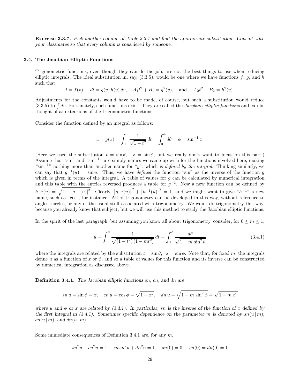Exercise 3.3.7. Pick another column of Table 3.3.1 and find the appropriate substitution. Consult with your classmates so that every column is considered by someone.

## 3.4. The Jacobian Elliptic Functions

Trigonometric functions, even though they can do the job, are not the best things to use when reducing elliptic integrals. The ideal substitution in, say,  $(3.3.5)$ , would be one where we have functions f, g, and h such that

 $t = f(v)$ ,  $dt = g(v) h(v) dv$ ,  $A_1 t^2 + B_1 = g^2(v)$ , and  $A_2 t^2 + B_2 = h^2(v)$ .

Adjustments for the constants would have to be made, of course, but such a substitution would reduce  $(3.3.5)$  to  $\int dv$ . Fortunately, such functions exist! They are called the *Jacobian elliptic functions* and can be thought of as extensions of the trigonometric functions.

Consider the function defined by an integral as follows:

$$
u = g(x) = \int_0^x \frac{1}{\sqrt{1 - t^2}} dt = \int_0^{\phi} d\theta = \phi = \sin^{-1} x.
$$

(Here we used the substitution  $t = \sin \theta$ ,  $x = \sin \phi$ , but we really don't want to focus on this part.) Assume that "sin" and "sin−<sup>1</sup> " are simply names we came up with for the functions involved here, making "sin<sup>-1</sup>" nothing more than another name for "g", which is *defined by the integral*. Thinking similarly, we can say that  $g^{-1}(u) = \sin u$ . Thus, we have *defined* the function "sin" as the inverse of the function g which is given in terms of the integral. A table of values for  $g$  can be calculated by numerical integration and this table with the entries reversed produces a table for  $g^{-1}$ . Now a new function can be defined by  $h^{-1}(u) = \sqrt{1-[g^{-1}(u)]^2}$ . Clearly,  $[g^{-1}(u)]^2 + [h^{-1}(u)]^2 = 1$ , and we might want to give " $h^{-1}$ " a new name, such as "cos", for instance. All of trigonometry can be developed in this way, without reference to angles, circles, or any of the usual stuff associated with trigonometry. We won't do trigonometry this way, because you already know that subject, but we will use this method to study the Jacobian elliptic functions.

In the spirit of the last paragraph, but assuming you know all about trigonometry, consider, for  $0 \le m \le 1$ ,

$$
u = \int_0^x \frac{1}{\sqrt{(1 - t^2)(1 - mt^2)}} dt = \int_0^{\phi} \frac{d\theta}{\sqrt{1 - m \sin^2 \theta}}
$$
(3.4.1)

where the integrals are related by the substitution  $t = \sin \theta$ ,  $x = \sin \phi$ . Note that, for fixed m, the integrals define u as a function of x or  $\phi$ , and so a table of values for this function and its inverse can be constructed by numerical integration as discussed above.

Definition 3.4.1. The Jacobian elliptic functions sn, cn, and dn are

$$
sn u = \sin \phi = x, \quad cn u = \cos \phi = \sqrt{1 - x^2}, \quad dn u = \sqrt{1 - m \sin^2 \phi} = \sqrt{1 - m x^2}
$$

where u and  $\phi$  or x are related by (3.4.1). In particular, sn is the inverse of the function of x defined by the first integral in (3.4.1). Sometimes specific dependence on the parameter m is denoted by  $sn(u | m)$ ,  $cn(u | m)$ , and  $dn(u | m)$ .

Some immediate consequences of Definition 3.4.1 are, for any  $m$ ,

$$
sn2u + cn2u = 1
$$
,  $msn2u + dn2u = 1$ ,  $sn(0) = 0$ ,  $cn(0) = dn(0) = 1$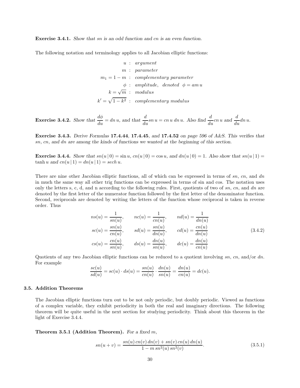Exercise 3.4.1. Show that sn is an odd function and cn is an even function.

The following notation and terminology applies to all Jacobian elliptic functions:

$$
u: argument
$$
  
\n
$$
m: parameter
$$
  
\n
$$
m_1 = 1 - m: complementary parameter
$$
  
\n
$$
\phi: amplitude, denoted \phi = am u
$$
  
\n
$$
k = \sqrt{m}: modulus
$$
  
\n
$$
k' = \sqrt{1 - k^2}: complementary modulus
$$

**Exercise 3.4.2.** Show that 
$$
\frac{d\phi}{du} = dn u
$$
, and that  $\frac{d}{du}sn u = cn u dn u$ . Also find  $\frac{d}{du}cn u$  and  $\frac{d}{du}dn u$ .

Exercise 3.4.3. Derive Formulas 17.4.44, 17.4.45, and 17.4.52 on page 596 of A&S. This verifies that sn, cn, and dn are among the kinds of functions we wanted at the beginning of this section.

**Exercise 3.4.4.** Show that  $sn(u | 0) = sin u$ ,  $cn(u | 0) = cos u$ , and  $dn(u | 0) = 1$ . Also show that  $sn(u | 1) =$  $tanh u$  and  $cn(u | 1) = dn(u | 1) = sech u$ .

There are nine other Jacobian elliptic functions, all of which can be expressed in terms of  $sn$ ,  $cn$ , and  $dn$ in much the same way all other trig functions can be expressed in terms of sin and cos. The notation uses only the letters s, c, d, and n according to the following rules. First, quotients of two of  $sn$ ,  $cn$ , and  $dn$  are denoted by the first letter of the numerator function followed by the first letter of the denominator function. Second, reciprocals are denoted by writing the letters of the function whose reciprocal is taken in reverse order. Thus

$$
ns(u) = \frac{1}{sn(u)}, \qquad nc(u) = \frac{1}{cn(u)}, \qquad nd(u) = \frac{1}{dn(u)}
$$
  
\n
$$
sc(u) = \frac{sn(u)}{cn(u)}, \qquad sd(u) = \frac{sn(u)}{dn(u)}, \qquad cd(u) = \frac{cn(u)}{dn(u)}
$$
  
\n
$$
cs(u) = \frac{cn(u)}{sn(u)}, \qquad ds(u) = \frac{dn(u)}{sn(u)}, \qquad dc(u) = \frac{dn(u)}{cn(u)}
$$
\n(3.4.2)

Quotients of any two Jacobian elliptic functions can be reduced to a quotient involving  $sn$ ,  $cn$ , and/or dn. For example

$$
\frac{sc(u)}{sd(u)} = sc(u) \cdot ds(u) = \frac{sn(u)}{cn(u)} \cdot \frac{dn(u)}{sn(u)} = \frac{dn(u)}{cn(u)} = dc(u).
$$

## 3.5. Addition Theorems

The Jacobian elliptic functions turn out to be not only periodic, but doubly periodic. Viewed as functions of a complex variable, they exhibit periodicity in both the real and imaginary directions. The following theorem will be quite useful in the next section for studying periodicity. Think about this theorem in the light of Exercise 3.4.4.

Theorem 3.5.1 (Addition Theorem). For a fixed m,

$$
sn(u+v) = \frac{sn(u) \, cn(v) \, dn(v) + sn(v) \, cn(u) \, dn(u)}{1 - m \, sn^2(u) \, sn^2(v)}.\tag{3.5.1}
$$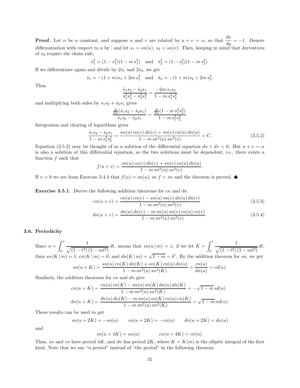**Proof.** Let  $\alpha$  be a constant, and suppose u and v are related by  $u + v = \alpha$ , so that  $\frac{dv}{du} = -1$ . Denote differentiation with respect to u by; and let  $s_1 = sn(u)$ ,  $s_2 = sn(v)$ . Then, keeping in mind that derivatives of  $s_2$  require the chain rule,

$$
\dot{s}_1^2 = (1 - s_1^2)(1 - m s_1^2)
$$
 and  $\dot{s}_2^2 = (1 - s_2^2)(1 - m s_2^2)$ .

If we differentiate again and divide by  $2\dot{s}_1$  and  $2\dot{s}_2$ , we get

$$
\ddot{s}_1 = -(1+m)s_1 + 2m s_1^3
$$
 and  $\ddot{s}_2 = -(1+m)s_2 + 2m s_2^3$ .

Thus

$$
\frac{\ddot{s}_1 s_2 - \ddot{s}_2 s_1}{\dot{s}_1^2 s_2^2 - \dot{s}_2^2 s_1^2} = \frac{-2m \, s_1 s_2}{1 - m \, s_1^2 s_2^2}
$$

and multiplying both sides by  $\dot{s}_1s_2 + \dot{s}_2s_1$  gives

$$
\frac{\frac{d}{du}(\dot{s}_1 s_2 - \dot{s}_2 s_1)}{\dot{s}_1 s_2 - \dot{s}_2 s_1} = \frac{\frac{d}{du}(1 - m s_1^2 s_2^2)}{1 - m s_1^2 s_2^2}
$$

Integration and clearing of logarithms gives

$$
\frac{\dot{s}_1 s_2 - \dot{s}_2 s_1}{1 - m s_1^2 s_2^2} = \frac{sn(u) \operatorname{cn}(v) \operatorname{dn}(v) + sn(v) \operatorname{cn}(u) \operatorname{dn}(u)}{1 - m s n^2(u) \operatorname{sn}^2(v)} = C. \tag{3.5.2}
$$

.

.

Equation (3.5.2) may be thought of as a solution of the differential equation  $du + dv = 0$ . But  $u + v = \alpha$ is also a solution of this differential equation, so the two solutions must be dependent, i.e., there exists a function  $f$  such that

$$
f(u + v) = \frac{sn(u) \, cn(v) \, dn(v) + sn(v) \, cn(u) \, dn(u)}{1 - m \, sn^2(u) \, sn^2(v)}
$$

If  $v = 0$  we see from Exercise 3.4.4 that  $f(u) = sn(u)$ , so  $f = sn$  and the theorem is proved. ◆

Exercise 3.5.1. Derive the following addition theorems for cn and dn.

$$
cn(u+v) = \frac{cn(u) \, cn(v) - sn(u) \, sn(v) \, dn(u) \, dn(v)}{1 - m \, sn^2(u) \, sn^2(v)} \tag{3.5.3}
$$

$$
dn(u+v) = \frac{dn(u) \, dn(v) - m \, sn(u) \, sn(v) \, cn(u) \, cn(v)}{1 - m \, sn^2(u) \, sn^2(v)}.\tag{3.5.4}
$$

## 3.6. Periodicity

Since  $u = \int^x$ 0 1  $\sqrt{(1-t^2)(1-mt^2)}$  dt, means that  $sn(u|m) = x$ , if we let  $K =$  $\int_1^1$ 0 1  $\frac{1}{\sqrt{(1-t^2)(1-mt^2)}} dt,$ then  $sn(K|m) = 1$ ,  $cn(K|m) = 0$ , and  $dn(K|m) = \sqrt{1-m} = k'$ . By the addition theorem for sn, we get  $sn(u+K) = \frac{sn(u) \, cn(K) \, dn(K) + sn(K) \, cn(u) \, dn(u)}{1 - \frac{2(L+K) \, n(K)}{2}}$  $\frac{K}{\ln(K)}\frac{dn(K) + sn(K) cn(u) dn(u)}{dn(u) sn^2(K)} = \frac{cn(u)}{dn(u)}$  $\frac{d\mathfrak{m}(u)}{dn(u)}=cd(u).$ 

Similarly, the addition theorems for  $cn$  and  $dn$  give

$$
cn(u+K) = \frac{cn(u) cn(K) - sn(u) sn(K) dn(u) dn(K)}{1 - m sn^2(u) sn^2(K)} = -\sqrt{1 - m} sd(u)
$$

$$
dn(u+K) = \frac{dn(u) dn(K) - m sn(u) sn(K) cn(u) cn(K)}{1 - m sn^2(u) sn^2(K)} = \sqrt{1 - m} nd(u).
$$

These results can be used to get

$$
sn(u + 2K) = -sn(u)
$$
  $cn(u + 2K) = -cn(u)$   $dn(u + 2K) = dn(u)$ 

and

$$
sn(u + 4K) = sn(u) \qquad cn(u + 4K) = cn(u).
$$

Thus, sn and cn have period 4K, and dn has period  $2K$ , where  $K = K(m)$  is the elliptic integral of the first kind. Note that we say "a period" instead of "the period" in the following theorem.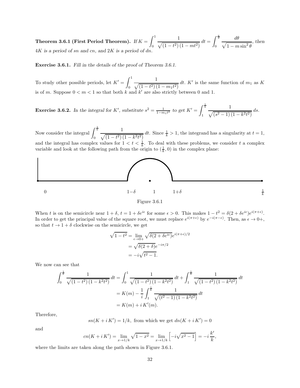Theorem 3.6.1 (First Period Theorem).  $\emph{If } K = \int_1^1 K$ 0 1  $\frac{1}{\sqrt{(1-t^2)(1-mt^2)}} dt = \int_0^{\frac{\pi}{2}}$ 0 dθ  $\sqrt{1 - m \sin^2 \theta}$ , then  $4K$  is a period of sn and cn, and  $2K$  is a period of dn.

Exercise 3.6.1. Fill in the details of the proof of Theorem 3.6.1.

To study other possible periods, let  $K' = \int_0^1$ 0 1  $\sqrt{(1-t^2)(1-m_1t^2)}$ dt.  $K'$  is the same function of  $m_1$  as K is of m. Suppose  $0 < m < 1$  so that both k and k' are also strictly between 0 and 1.

**Exercise 3.6.2.** In the integral for K', substitute  $s^2 = \frac{1}{1-m_1t^2}$  to get  $K' = \int_{0}^{\frac{1}{k}}$ 1 1  $\sqrt{(s^2-1)(1-k^2t^2)}$  ds.

Now consider the integral  $\int_{0}^{\frac{1}{k}}$ 0 1  $\sqrt{(1-t^2)(1-k^2t^2)}$ dt. Since  $\frac{1}{k} > 1$ , the integrand has a singularity at  $t = 1$ , and the integral has complex values for  $1 < t < \frac{1}{k}$ . To deal with these problems, we consider t a complex variable and look at the following path from the origin to  $(\frac{1}{k}, 0)$  in the complex plane:



Figure 3.6.1

When t is on the semicircle near  $1 + \delta$ ,  $t = 1 + \delta e^{i\epsilon}$  for some  $\epsilon > 0$ . This makes  $1 - t^2 = \delta(2 + \delta e^{i\epsilon})e^{i(\pi + \epsilon)}$ . In order to get the principal value of the square root, we must replace  $e^{i(\pi + \epsilon)}$  by  $e^{-i(\pi - \epsilon)}$ . Then, as  $\epsilon \to 0^+$ , so that  $t \to 1 + \delta$  clockwise on the semicircle, we get

$$
\sqrt{1 - t^2} = \lim_{\epsilon \to 0+} \sqrt{\delta(2 + \delta e^{i\epsilon})} e^{i(\pi + \epsilon)/2}
$$

$$
= \sqrt{\delta(2 + \delta)} e^{-i\pi/2}
$$

$$
= -i\sqrt{t^2 - 1}.
$$

We now can see that

$$
\int_0^{\frac{1}{k}} \frac{1}{\sqrt{(1-t^2)(1-k^2t^2)}} dt = \int_0^1 \frac{1}{\sqrt{(1-t^2)(1-k^2t^2)}} dt + \int_1^{\frac{1}{k}} \frac{1}{\sqrt{(1-t^2)(1-k^2t^2)}} dt
$$

$$
= K(m) - \frac{1}{i} \int_1^{\frac{1}{k}} \frac{1}{\sqrt{(t^2-1)(1-k^2t^2)}} dt
$$

$$
= K(m) + i K'(m).
$$

Therefore,

$$
sn(K + i K') = 1/k
$$
, from which we get  $dn(K + i K') = 0$ 

and

$$
cn(K + i K') = \lim_{x \to 1/k} \sqrt{1 - x^2} = \lim_{x \to 1/k} \left[ -i\sqrt{x^2 - 1} \right] = -i \frac{k'}{k},
$$

where the limits are taken along the path shown in Figure 3.6.1.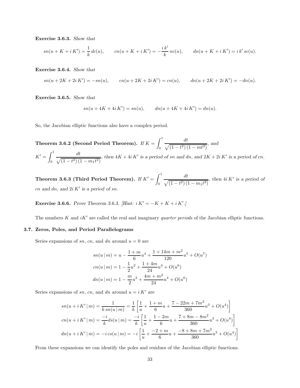Exercise 3.6.3. Show that

$$
sn(u+K+i K') = \frac{1}{k} dc(u), \qquad cn(u+K+i K') = -\frac{ik'}{k} nc(u), \qquad dn(u+K+i K') = i k' sc(u).
$$

Exercise 3.6.4. Show that

$$
sn(u + 2K + 2i K') = -sn(u), \qquad cn(u + 2K + 2i K') = cn(u), \qquad dn(u + 2K + 2i K') = -dn(u).
$$

Exercise 3.6.5. Show that

$$
sn(u + 4K + 4i K') = sn(u), \qquad dn(u + 4K + 4i K') = dn(u).
$$

So, the Jacobian elliptic functions also have a complex period.

Theorem 3.6.2 (Second Period Theorem). If  $K=\int^1$  $\boldsymbol{0}$ dt  $\sqrt{(1-t^2)(1-mt^2)},$  and  $K'=\int^1$ 0 dt  $\sqrt{(1-t^2)(1-m_1t^2)}$ , then  $4K + 4i K'$  is a period of sn and dn, and  $2K + 2i K'$  is a period of cn.

Theorem 3.6.3 (Third Period Theorem). If  $K'=\int^1$ 0 dt  $\sqrt{(1-t^2)(1-m_1t^2)}$ , then  $4i K'$  is a period of cn and dn, and  $2i K'$  is a period of sn.

**Exercise 3.6.6.** Prove Theorem 3.6.3. [Hint:  $i K' = -K + K + i K'.$ ]

The numbers K and  $iK'$  are called the real and imaginary *quarter periods* of the Jacobian elliptic functions.

## 3.7. Zeros, Poles, and Period Parallelograms

Series expansions of sn, cn, and dn around  $u = 0$  are

$$
sn(u|m) = u - \frac{1+m}{6}u^3 + \frac{1+14m+m^2}{120}u^5 + O(u^7)
$$
  
\n
$$
cn(u|m) = 1 - \frac{1}{2}u^2 + \frac{1+4m}{24}u^4 + O(u^6)
$$
  
\n
$$
dn(u|m) = 1 - \frac{m}{2}u^2 + \frac{4m+m^2}{24}u^4 + O(u^6)
$$

Series expansions of sn, cn, and dn around  $u = i K'$  are

$$
sn(u + i K'|m) = \frac{1}{k sn(u|m)} = \frac{1}{k} \left[ \frac{1}{u} + \frac{1 + m}{6} u + \frac{7 - 22m + 7m^2}{360} u^3 + O(u^4) \right]
$$
  
\n
$$
cn(u + i K'|m) = \frac{-i}{k} ds(u|m) = \frac{-i}{k} \left[ \frac{1}{u} + \frac{1 - 2m}{6} u + \frac{7 + 8m - 8m^2}{360} u^3 + O(u^4) \right]
$$
  
\n
$$
dn(u + i K'|m) = -i cs(u|m) = -i \left[ \frac{1}{u} + \frac{-2 + m}{6} u + \frac{-8 + 8m + 7m^2}{360} u^3 + O(u^4) \right]
$$

From these expansions we can identify the poles and residues of the Jacobian elliptic functions.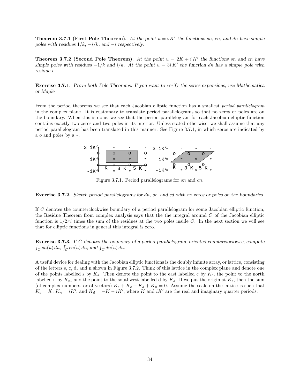**Theorem 3.7.1 (First Pole Theorem).** At the point  $u = i K'$  the functions sn, cn, and dn have simple poles with residues  $1/k$ ,  $-i/k$ , and  $-i$  respectively.

**Theorem 3.7.2 (Second Pole Theorem).** At the point  $u = 2K + iK'$  the functions sn and cn have simple poles with residues  $-1/k$  and  $i/k$ . At the point  $u = 3i K'$  the function dn has a simple pole with residue i.

Exercise 3.7.1. Prove both Pole Theorems. If you want to verify the series expansions, use Mathematica or Maple.

From the period theorems we see that each Jacobian elliptic function has a smallest period parallelogram in the complex plane. It is customary to translate period parallelograms so that no zeros or poles are on the boundary. When this is done, we see that the period parallelogram for each Jacobian elliptic function contains exactly two zeros and two poles in its interior. Unless stated otherwise, we shall assume that any period parallelogram has been translated in this manner. See Figure 3.7.1, in which zeros are indicated by a o and poles by a ∗.



Figure 3.7.1. Period parallelograms for sn and cn.

Exercise 3.7.2. Sketch period parallelograms for dn, sc, and cd with no zeros or poles on the boundaries.

If C denotes the counterclockwise boundary of a period parallelogram for some Jacobian elliptic function, the Residue Theorem from complex analysis says that the the integral around  $C$  of the Jacobian elliptic function is  $1/2\pi i$  times the sum of the residues at the two poles inside C. In the next section we will see that for elliptic functions in general this integral is zero.

Exercise 3.7.3. If C denotes the boundary of a period parallelogram, oriented counterclockwise, compute  $\int_C sn(u) du$ ,  $\int_C cn(u) du$ , and  $\int_C dn(u) du$ .

A useful device for dealing with the Jacobian elliptic functions is the doubly infinite array, or lattice, consisting of the letters s, c, d, and n shown in Figure 3.7.2. Think of this lattice in the complex plane and denote one of the points labelled s by  $K_s$ . Then denote the point to the east labelled c by  $K_c$ , the point to the north labelled n by  $K_n$ , and the point to the southwest labelled d by  $K_d$ . If we put the origin at  $K_s$ , then the sum (of complex numbers, or of vectors)  $K_s + K_c + K_d + K_n = 0$ . Assume the scale on the lattice is such that  $K_c = K$ ,  $K_n = iK'$ , and  $K_d = -K - iK'$ , where K and  $iK'$  are the real and imaginary quarter periods.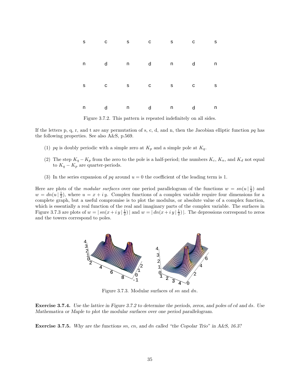|  |  | S C S C S C S |  |
|--|--|---------------|--|
|  |  | n d n d n d n |  |
|  |  | s c s c s c s |  |
|  |  | n d n d n d n |  |

Figure 3.7.2. This pattern is repeated indefinitely on all sides.

If the letters p, q, r, and t are any permutation of s, c, d, and n, then the Jacobian elliptic function  $pq$  has the following properties. See also A&S, p.569.

- (1) pq is doubly periodic with a simple zero at  $K_p$  and a simple pole at  $K_q$ .
- (2) The step  $K_q K_p$  from the zero to the pole is a half-period; the numbers  $K_c, K_n$ , and  $K_d$  not equal to  $K_q - K_p$  are quarter-periods.
- (3) In the series expansion of pq around  $u = 0$  the coefficient of the leading term is 1.

Here are plots of the *modular surfaces* over one period parallelogram of the functions  $w = sn(u | \frac{1}{2})$  and  $w = dn(u | \frac{1}{2})$ , where  $u = x + iy$ . Complex functions of a complex variable require four dimensions for a complete graph, but a useful compromise is to plot the modulus, or absolute value of a complex function, which is essentially a real function of the real and imaginary parts of the complex variable. The surfaces in Figure 3.7.3 are plots of  $w = |sn(x + iy)| \frac{1}{2}$  and  $w = |dn(x + iy)| \frac{1}{2}$ . The depressions correspond to zeros and the towers correspond to poles.



Figure 3.7.3. Modular surfaces of sn and dn.

Exercise 3.7.4. Use the lattice in Figure 3.7.2 to determine the periods, zeros, and poles of cd and ds. Use Mathematica or Maple to plot the modular surfaces over one period parallelogram.

Exercise 3.7.5. Why are the functions sn, cn, and dn called "the Copolar Trio" in A&S, 16.3?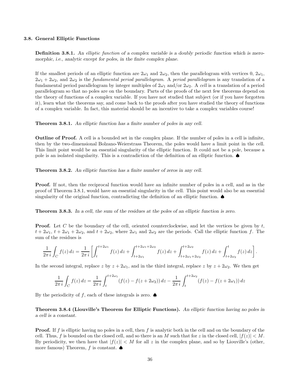### 3.8. General Elliptic Functions

Definition 3.8.1. An elliptic function of a complex variable is a doubly periodic function which is meromorphic, i.e., analytic except for poles, in the finite complex plane.

If the smallest periods of an elliptic function are  $2\omega_1$  and  $2\omega_2$ , then the parallelogram with vertices 0,  $2\omega_1$ ,  $2\omega_1 + 2\omega_2$ , and  $2\omega_2$  is the *fundamental period parallelogram*. A *period parallelogram* is any translation of a fundamental period parallelogram by integer multiples of  $2\omega_1$  and/or  $2\omega_2$ . A cell is a translation of a period parallelogram so that no poles are on the boundary. Parts of the proofs of the next few theorems depend on the theory of functions of a complex variable. If you have not studied that subject (or if you have forgotten it), learn what the theorems say, and come back to the proofs after you have studied the theory of functions of a complex variable. In fact, this material should be an incentive to take a complex variables course!

Theorem 3.8.1. An elliptic function has a finite number of poles in any cell.

Outline of Proof. A cell is a bounded set in the complex plane. If the number of poles in a cell is infinite, then by the two-dimensional Bolzano-Weierstrass Theorem, the poles would have a limit point in the cell. This limit point would be an essential singularity of the elliptic function. It could not be a pole, because a pole is an isolated singularity. This is a contradiction of the definition of an elliptic function. ♠

**Theorem 3.8.2.** An elliptic function has a finite number of zeros in any cell.

Proof. If not, then the reciprocal function would have an infinite number of poles in a cell, and as in the proof of Theorem 3.8.1, would have an essential singularity in the cell. This point would also be an essential singularity of the original function, contradicting the definition of an elliptic function.  $\spadesuit$ 

Theorem 3.8.3. In a cell, the sum of the residues at the poles of an elliptic function is zero.

**Proof.** Let C be the boundary of the cell, oriented counterclockwise, and let the vertices be given by  $t$ ,  $t + 2\omega_1$ ,  $t + 2\omega_1 + 2\omega_2$ , and  $t + 2\omega_2$ , where  $2\omega_1$  and  $2\omega_2$  are the periods. Call the elliptic function f. The sum of the residues is

$$
\frac{1}{2\pi i} \int_C f(z) dz = \frac{1}{2\pi i} \left[ \int_t^{t+2\omega_1} f(z) dz + \int_{t+2\omega_1}^{t+2\omega_1+2\omega_2} f(z) dz + \int_{t+2\omega_1+2\omega_2}^{t+2\omega_2} f(z) dz + \int_{t+2\omega_2}^t f(z) dz \right].
$$

In the second integral, replace z by  $z + 2\omega_1$ , and in the third integral, replace z by  $z + 2\omega_2$ . We then get

$$
\frac{1}{2\pi i} \int_C f(z) dz = \frac{1}{2\pi i} \int_t^{t+2\omega_1} (f(z) - f(z + 2\omega_2)) dz - \frac{1}{2\pi i} \int_t^{t+2\omega_2} (f(z) - f(z + 2\omega_1)) dz
$$

By the periodicity of f, each of these integrals is zero.  $\spadesuit$ 

Theorem 3.8.4 (Liouville's Theorem for Elliptic Functions). An elliptic function having no poles in a cell is a constant.

**Proof.** If f is elliptic having no poles in a cell, then f is analytic both in the cell and on the boundary of the cell. Thus, f is bounded on the closed cell, and so there is an M such that for z in the closed cell,  $|f(z)| < M$ . By periodicity, we then have that  $|f(z)| < M$  for all z in the complex plane, and so by Liouville's (other, more famous) Theorem, f is constant.  $\spadesuit$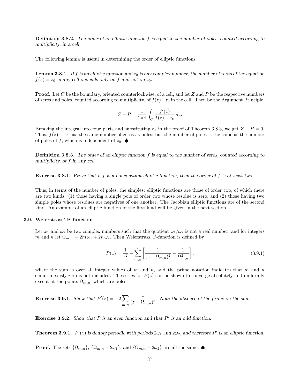**Definition 3.8.2.** The order of an elliptic function f is equal to the number of poles, counted according to multiplicity, in a cell.

The following lemma is useful in determining the order of elliptic functions.

**Lemma 3.8.1.** If f is an elliptic function and  $z_0$  is any complex number, the number of roots of the equation  $f(z) = z_0$  in any cell depends only on f and not on  $z_0$ .

**Proof.** Let C be the boundary, oriented counterlockwise, of a cell, and let Z and P be the respective numbers of zeros and poles, counted according to multiplicity, of  $f(z)-z_0$  in the cell. Then by the Argument Principle,

$$
Z - P = \frac{1}{2\pi i} \int_C \frac{f'(z)}{f(z) - z_0} dz.
$$

Breaking the integral into four parts and substituting as in the proof of Theorem 3.8.3, we get  $Z - P = 0$ . Thus,  $f(z) - z_0$  has the same number of zeros as poles; but the number of poles is the same as the number of poles of f, which is independent of  $z_0$ .

**Definition 3.8.3.** The order of an elliptic function f is equal to the number of zeros, counted according to multiplicity, of f in any cell.

**Exercise 3.8.1.** Prove that if f is a nonconstant elliptic function, then the order of f is at least two.

Thus, in terms of the number of poles, the simplest elliptic functions are those of order two, of which there are two kinds: (1) those having a single pole of order two whose residue is zero, and (2) those having two simple poles whose residues are negatives of one another. The Jacobian elliptic functions are of the second kind. An example of an elliptic function of the first kind will be given in the next section.

### 3.9. Weierstrass' P-function

Let  $\omega_1$  and  $\omega_2$  be two complex numbers such that the quotient  $\omega_1/\omega_2$  is not a real number, and for integers m and n let  $\Omega_{m,n} = 2m \omega_1 + 2n \omega_2$ . Then Weierstrass' P-function is defined by

$$
P(z) = \frac{1}{z^2} + \sum_{m,n}^{\prime} \left[ \frac{1}{(z - \Omega_{m,n})^2} - \frac{1}{\Omega_{m,n}^2} \right],
$$
\n(3.9.1)

where the sum is over all integer values of m and n, and the prime notation indicates that m and n simultaneously zero is not included. The series for  $P(z)$  can be shown to converge absolutely and uniformly except at the points  $\Omega_{m,n}$ , which are poles.

**Exercise 3.9.1.** Show that  $P'(z) = -2\sum$  $m,n$ 1  $\frac{1}{(z - \Omega_{m,n})^3}$ . Note the absence of the prime on the sum.

**Exercise 3.9.2.** Show that  $P$  is an even function and that  $P'$  is an odd function.

**Theorem 3.9.1.**  $P'(z)$  is doubly periodic with periods  $2\omega_1$  and  $2\omega_2$ , and therefore P' is an elliptic function.

**Proof.** The sets  $\{\Omega_{m,n}\}, \{\Omega_{m,n}-2\omega_1\}, \text{ and } \{\Omega_{m,n}-2\omega_2\}$  are all the same.  $\spadesuit$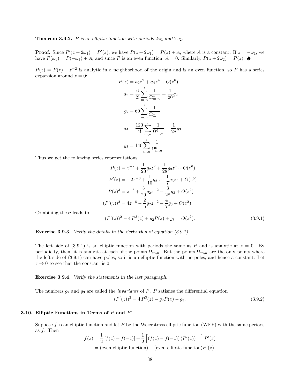**Theorem 3.9.2.** P is an elliptic function with periods  $2\omega_1$  and  $2\omega_2$ .

**Proof.** Since  $P'(z + 2\omega_1) = P'(z)$ , we have  $P(z + 2\omega_1) = P(z) + A$ , where A is a constant. If  $z = -\omega_1$ , we have  $P(\omega_1) = P(-\omega_1) + A$ , and since P is an even function,  $A = 0$ . Similarly,  $P(z + 2\omega_2) = P(z)$ .

 $\tilde{P}(z) = P(z) - z^{-2}$  is analytic in a neighborhood of the origin and is an even function, so  $\tilde{P}$  has a series expansion around  $z = 0$ :

$$
\tilde{P}(z) = a_2 z^2 + a_4 z^4 + O(z^6)
$$
\n
$$
a_2 = \frac{6}{2!} \sum_{m,n}^{\prime} \frac{1}{\Omega_{m,n}^4} = \frac{1}{20} g_2
$$
\n
$$
g_2 = 60 \sum_{m,n}^{\prime} \frac{1}{\Omega_{m,n}^4}
$$
\n
$$
a_4 = \frac{120}{4!} \sum_{m,n}^{\prime} \frac{1}{\Omega_{m,n}^6} = \frac{1}{28} g_3
$$
\n
$$
g_3 = 140 \sum_{m,n}^{\prime} \frac{1}{\Omega_{m,n}^6}
$$

Thus we get the following series representations.

$$
P(z) = z^{-2} + \frac{1}{20}g_2z^2 + \frac{1}{28}g_3z^4 + O(z^6)
$$
  
\n
$$
P'(z) = -2z^{-3} + \frac{1}{10}g_2z + \frac{1}{7}g_3z^3 + O(z^5)
$$
  
\n
$$
P(z)^3 = z^{-6} + \frac{3}{20}g_2z^{-2} + \frac{3}{28}g_3 + O(z^2)
$$
  
\n
$$
P'(z))^2 = 4z^{-6} - \frac{2}{5}g_2z^{-2} - \frac{4}{7}g_3 + O(z^2)
$$

Combining these leads to

$$
(P'(z))^2 - 4P^3(z) + g_2P(z) + g_3 = O(z^2). \tag{3.9.1}
$$

Exercise 3.9.3. Verify the details in the derivation of equation (3.9.1).

 $\left($ 

The left side of (3.9.1) is an elliptic function with periods the same as P and is analytic at  $z = 0$ . By periodicity, then, it is analytic at each of the points  $\Omega_{m,n}$ . But the points  $\Omega_{m,n}$  are the only points where the left side of (3.9.1) can have poles, so it is an elliptic function with no poles, and hence a constant. Let  $z \rightarrow 0$  to see that the constant is 0.

Exercise 3.9.4. Verify the statements in the last paragraph.

The numbers  $g_2$  and  $g_3$  are called the *invariants* of  $P$ .  $P$  satisfies the differential equation

$$
(P'(z))^2 = 4P^3(z) - g_2P(z) - g_3.
$$
\n(3.9.2)

## 3.10. Elliptic Functions in Terms of  $P$  and  $P'$

Suppose f is an elliptic function and let P be the Weierstrass elliptic function (WEF) with the same periods as  $f$ . Then

$$
f(z) = \frac{1}{2} [f(z) + f(-z)] + \frac{1}{2} [(f(z) - f(-z)) (P'(z))^{-1}] P'(z)
$$
  
= (even elliptic function) + (even elliptic function)P'(z)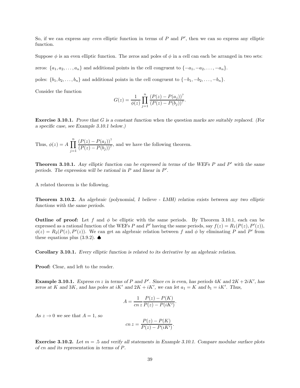So, if we can express any *even* elliptic function in terms of  $P$  and  $P'$ , then we can so express any elliptic function.

Suppose  $\phi$  is an even elliptic function. The zeros and poles of  $\phi$  in a cell can each be arranged in two sets:

zeros:  $\{a_1, a_2, \ldots, a_n\}$  and additional points in the cell congruent to  $\{-a_1, -a_2, \ldots, -a_n\}$ .

poles:  $\{b_1, b_2, \ldots, b_n\}$  and additional points in the cell congruent to  $\{-b_1, -b_2, \ldots, -b_n\}$ .

Consider the function

$$
G(z) = \frac{1}{\phi(z)} \prod_{j=1}^{n} \frac{(P(z) - P(a_j))^2}{(P(z) - P(b_j))^2}.
$$

Exercise 3.10.1. Prove that G is a constant function when the question marks are suitably replaced. (For a specific case, see Example 3.10.1 below.)

Thus,  $\phi(z) = A \prod^{n}$  $j=1$  $(P(z) - P(a_j))^2$  $\frac{P(x)}{(P(z) - P(b_j))}$ , and we have the following theorem.

**Theorem 3.10.1.** Any elliptic function can be expressed in terms of the WEFs  $P$  and  $P'$  with the same periods. The expression will be rational in  $P$  and linear in  $P'$ .

A related theorem is the following.

Theorem 3.10.2. An algebraic (polynomial, I believe - LMH) relation exists between any two elliptic functions with the same periods.

**Outline of proof:** Let f and  $\phi$  be elliptic with the same periods. By Theorem 3.10.1, each can be expressed as a rational function of the WEFs P and P' having the same periods, say  $f(z) = R_1(P(z), P'(z))$ ,  $\phi(z) = R_2(P(z), P'(z))$ . We can get an algebraic relation between f and  $\phi$  by eliminating P and P' from these equations plus  $(3.9.2)$ .  $\spadesuit$ 

Corollary 3.10.1. Every elliptic function is related to its derivative by an algebraic relation.

Proof: Clear, and left to the reader.

Example 3.10.1. Express cn z in terms of P and P'. Since cn is even, has periods  $4K$  and  $2K + 2iK'$ , has zeros at K and 3K, and has poles at  $iK'$  and  $2K + iK'$ , we can let  $a_1 = K$  and  $b_1 = iK'$ . Thus,

$$
A = \frac{1}{cn z} \frac{P(z) - P(K)}{P(z) - P(iK')}.
$$

As  $z \to 0$  we see that  $A = 1$ , so

$$
cn z = \frac{P(z) - P(K)}{P(z) - P(iK')}.
$$

**Exercise 3.10.2.** Let  $m = .5$  and verify all statements in Example 3.10.1. Compare modular surface plots of cn and its representation in terms of P.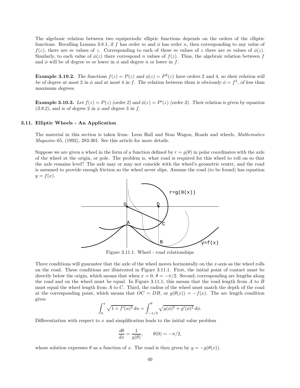The algebraic relation between two equiperiodic elliptic functions depends on the orders of the elliptic functions. Recalling Lemma 3.8.1, if f has order m and  $\phi$  has order n, then corresponding to any value of  $f(z)$ , there are m values of z. Corresponding to each of these m values of z there are m values of  $\phi(z)$ . Similarly, to each value of  $\phi(z)$  there correspond n values of  $f(z)$ . Thus, the algebraic relation between f and  $\phi$  will be of degree m or lower in  $\phi$  and degree n or lower in f.

**Example 3.10.2.** The functions  $f(z) = P(z)$  and  $\phi(z) = P^2(z)$  have orders 2 and 4, so their relation will be of degree at most 2 in  $\phi$  and at most 4 in f. The relation between them is obviously  $\phi = f^2$ , of less than maximum degrees.

**Example 3.10.3.** Let  $f(z) = P(z)$  (order 2) and  $\phi(z) = P'(z)$  (order 3). Their relation is given by equation  $(3.9.2)$ , and is of degree 2 in  $\phi$  and degree 3 in f.

### 3.11. Elliptic Wheels - An Application

The material in this section is taken from: Leon Hall and Stan Wagon, Roads and wheels, Mathematics Magazine 65, (1992), 283-301. See this article for more details.

Suppose we are given a wheel in the form of a function defined by  $r = g(\theta)$  in polar coordinates with the axle of the wheel at the origin, or pole. The problem is, what road is required for this wheel to roll on so that the axle remains level? The axle may or may not coincide with the wheel's geometric center, and the road is assumed to provide enough friction so the wheel never slips. Assume the road (to be found) has equation  $y = f(x)$ .



Figure 3.11.1. Wheel - road relationships

Three conditions will guarantee that the axle of the wheel moves horizontally on the  $x$ -axis as the wheel rolls on the road. These conditions are illustrated in Figure 3.11.1. First, the initial point of contact must be directly below the origin, which means that when  $x = 0$ ,  $\theta = -\pi/2$ . Second, corresponding arc lengths along the road and on the wheel must be equal. In Figure 3.11.1, this means that the road length from A to B must equal the wheel length from A to C. Third, the radius of the wheel must match the depth of the road at the corresponding point, which means that  $OC = DB$ , or  $g(\theta(x)) = -f(x)$ . The arc length condition gives

$$
\int_0^x \sqrt{1 + f'(u)^2} \, du = \int_{-\pi/2}^{\theta} \sqrt{g(\phi)^2 + g'(\phi)^2} \, d\phi.
$$

Differentiation with respect to  $x$  and simplification leads to the initial value problem

$$
\frac{d\theta}{dx} = \frac{1}{g(\theta)}, \qquad \theta(0) = -\pi/2,
$$

whose solution expresses  $\theta$  as a function of x. The road is then given by  $y = -g(\theta(x))$ .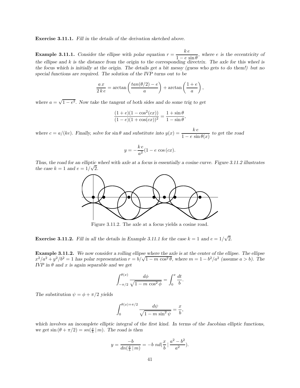Exercise 3.11.1. Fill in the details of the derivation sketched above.

**Example 3.11.1.** Consider the ellipse with polar equation  $r = \frac{k e}{1 - k}$  $\frac{1 - e \sin \theta}{1 - e \sin \theta}$ , where e is the eccentricity of the ellipse and k is the distance from the origin to the corresponding directrix. The axle for this wheel is the focus which is initially at the origin. The details get a bit messy (guess who gets to do them!) but no special functions are required. The solution of the IVP turns out to be

$$
\frac{ax}{2ke} = \arctan\left(\frac{\tan(\theta/2) - e}{a}\right) + \arctan\left(\frac{1+e}{a}\right),\,
$$

where  $a = \sqrt{1 - e^2}$ . Now take the tangent of both sides and do some trig to get

$$
\frac{(1+e)(1-\cos^2(cx))}{(1-e)(1+\cos(cx))^2} = \frac{1+\sin\theta}{1-\sin\theta},
$$

where  $c = a/(ke)$ . Finally, solve for  $\sin \theta$  and substitute into  $y(x) = \frac{ke}{1 + ke^2}$  $\frac{1-e^{-x}}{1-e^{-\sin \theta(x)}}$  to get the road

$$
y = -\frac{k e}{a^2} (1 - e \cos(cx)).
$$

Thus, the road for an elliptic wheel with axle at a focus is essentially a cosine curve. Figure 3.11.2 illustrates the case  $k = 1$  and  $e = 1/\sqrt{2}$ .



Figure 3.11.2. The axle at a focus yields a cosine road.

**Exercise 3.11.2.** Fill in all the details in Example 3.11.1 for the case  $k = 1$  and  $e = 1/\sqrt{2}$ .

Example 3.11.2. We now consider a rolling ellipse where the axle is at the center of the ellipse. The ellipse  $x^2/a^2 + y^2/b^2 = 1$  has polar representation  $r = b/\sqrt{1 - m \cos^2{\theta}}$ , where  $m = 1 - b^2/a^2$  (assume  $a > b$ ). The IVP in  $\theta$  and x is again separable and we get

$$
\int_{-\pi/2}^{\theta(x)} \frac{d\phi}{\sqrt{1-m\,\cos^2\phi}} = \int_0^x \frac{dt}{b}.
$$

The substitution  $\psi = \phi + \pi/2$  yields

$$
\int_0^{\theta(x)+\pi/2} \frac{d\psi}{\sqrt{1-m\sin^2\psi}} = \frac{x}{b},
$$

which involves an incomplete elliptic integral of the first kind. In terms of the Jacobian elliptic functions, we get  $\sin (\theta + \pi/2) = \frac{\sin(\frac{x}{b} \mid m)}{h}$ . The road is then

$$
y = \frac{-b}{dn(\frac{x}{b} \mid m)} = -b \; nd(\frac{x}{b} \mid \frac{a^2 - b^2}{a^2}).
$$